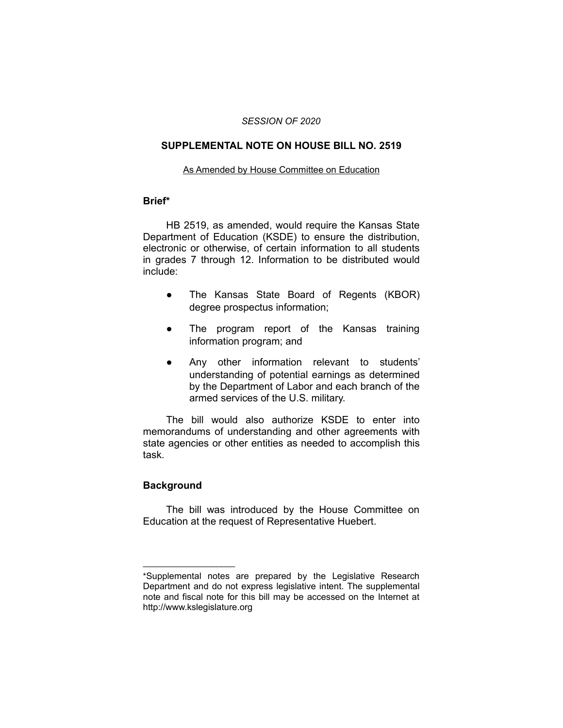#### *SESSION OF 2020*

## **SUPPLEMENTAL NOTE ON HOUSE BILL NO. 2519**

#### As Amended by House Committee on Education

### **Brief\***

HB 2519, as amended, would require the Kansas State Department of Education (KSDE) to ensure the distribution, electronic or otherwise, of certain information to all students in grades 7 through 12. Information to be distributed would include:

- The Kansas State Board of Regents (KBOR) degree prospectus information;
- The program report of the Kansas training information program; and
- Any other information relevant to students' understanding of potential earnings as determined by the Department of Labor and each branch of the armed services of the U.S. military.

The bill would also authorize KSDE to enter into memorandums of understanding and other agreements with state agencies or other entities as needed to accomplish this task.

# **Background**

 $\overline{\phantom{a}}$  , where  $\overline{\phantom{a}}$  , where  $\overline{\phantom{a}}$ 

The bill was introduced by the House Committee on Education at the request of Representative Huebert.

<sup>\*</sup>Supplemental notes are prepared by the Legislative Research Department and do not express legislative intent. The supplemental note and fiscal note for this bill may be accessed on the Internet at http://www.kslegislature.org